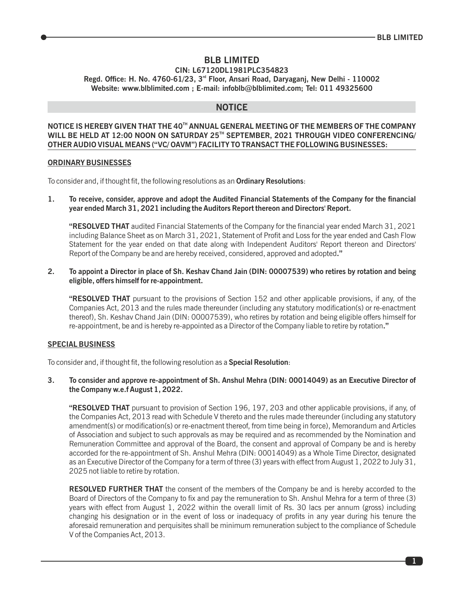# **BLB LIMITED**

**CIN: L67120DL1981PLC354823** Regd. Office: H. No. 4760-61/23, 3<sup>rd</sup> Floor, Ansari Road, Daryaganj, New Delhi - 110002

**Website: www.blblimited.com ; E-mail: infoblb@blblimited.com; Tel: 011 49325600**

## **NOTICE**

### NOTICE IS HEREBY GIVEN THAT THE 40<sup>TH</sup> ANNUAL GENERAL MEETING OF THE MEMBERS OF THE COMPANY **TH WILL BE HELD AT 12:00 NOON ON SATURDAY 25 SEPTEMBER, 2021 THROUGH VIDEO CONFERENCING/ OTHER AUDIO VISUAL MEANS ("VC/ OAVM") FACILITY TO TRANSACT THE FOLLOWING BUSINESSES:**

#### **ORDINARY BUSINESSES**

To consider and, if thought fit, the following resolutions as an **Ordinary Resolutions**:

**1.** To receive, consider, approve and adopt the Audited Financial Statements of the Company for the financial **year ended March 31, 2021 including the Auditors Report thereon and Directors' Report.**

**"RESOLVED THAT** audited Financial Statements of the Company for the financial year ended March 31, 2021 including Balance Sheet as on March 31, 2021, Statement of Profit and Loss for the year ended and Cash Flow Statement for the year ended on that date along with Independent Auditors' Report thereon and Directors' Report of the Company be and are hereby received, considered, approved and adopted**."**

**2. To appoint a Director in place of Sh. Keshav Chand Jain (DIN: 00007539) who retires by rotation and being eligible, offers himself for re-appointment.**

**"RESOLVED THAT** pursuant to the provisions of Section 152 and other applicable provisions, if any, of the Companies Act, 2013 and the rules made thereunder (including any statutory modification(s) or re-enactment thereof), Sh. Keshav Chand Jain (DIN: 00007539), who retires by rotation and being eligible offers himself for re-appointment, be and is hereby re-appointed as a Director of the Company liable to retire by rotation**."**

#### **SPECIAL BUSINESS**

To consider and, if thought fit, the following resolution as a **Special Resolution**:

**3. To consider and approve re-appointment of Sh. Anshul Mehra (DIN: 00014049) as an Executive Director of the Company w.e.f August 1, 2022.**

**"RESOLVED THAT** pursuant to provision of Section 196, 197, 203 and other applicable provisions, if any, of the Companies Act, 2013 read with Schedule V thereto and the rules made thereunder (including any statutory amendment(s) or modification(s) or re-enactment thereof, from time being in force), Memorandum and Articles of Association and subject to such approvals as may be required and as recommended by the Nomination and Remuneration Committee and approval of the Board, the consent and approval of Company be and is hereby accorded for the re-appointment of Sh. Anshul Mehra (DIN: 00014049) as a Whole Time Director, designated as an Executive Director of the Company for a term of three (3) years with effect from August 1, 2022 to July 31, 2025 not liable to retire by rotation.

**RESOLVED FURTHER THAT** the consent of the members of the Company be and is hereby accorded to the Board of Directors of the Company to fix and pay the remuneration to Sh. Anshul Mehra for a term of three (3) years with effect from August 1, 2022 within the overall limit of Rs. 30 lacs per annum (gross) including changing his designation or in the event of loss or inadequacy of profits in any year during his tenure the aforesaid remuneration and perquisites shall be minimum remuneration subject to the compliance of Schedule V of the Companies Act, 2013.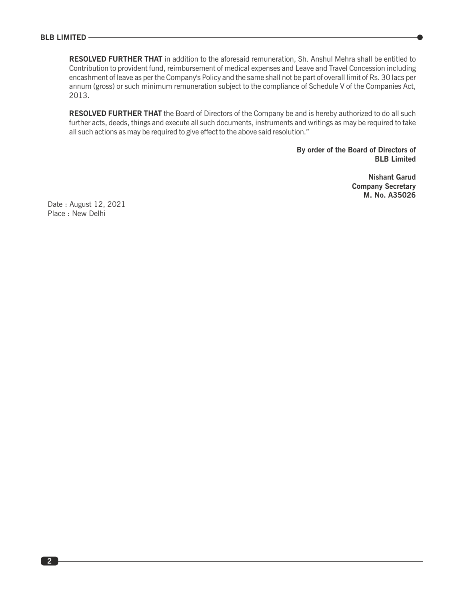**RESOLVED FURTHER THAT** in addition to the aforesaid remuneration, Sh. Anshul Mehra shall be entitled to Contribution to provident fund, reimbursement of medical expenses and Leave and Travel Concession including encashment of leave as per the Company's Policy and the same shall not be part of overall limit of Rs. 30 lacs per annum (gross) or such minimum remuneration subject to the compliance of Schedule V of the Companies Act, 2013.

**RESOLVED FURTHER THAT** the Board of Directors of the Company be and is hereby authorized to do all such further acts, deeds, things and execute all such documents, instruments and writings as may be required to take all such actions as may be required to give effect to the above said resolution."

> **By order of the Board of Directors of BLB Limited**

> > **Nishant Garud Company Secretary M. No. A35026**

Date : August 12, 2021 Place : New Delhi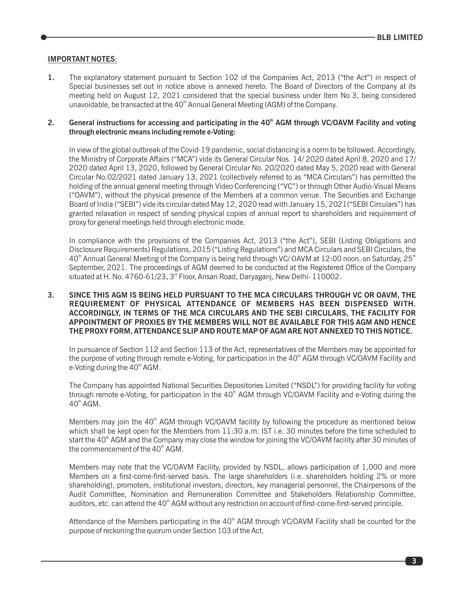### **IMPORTANT NOTES**:

**1.** The explanatory statement pursuant to Section 102 of the Companies Act, 2013 ("the Act") in respect of Special businesses set out in notice above is annexed hereto. The Board of Directors of the Company at its meeting held on August 12, 2021 considered that the special business under Item No 3, being considered unavoidable, be transacted at the  $40<sup>th</sup>$  Annual General Meeting (AGM) of the Company.

## 2. General instructions for accessing and participating in the 40<sup>th</sup> AGM through VC/OAVM Facility and voting **through electronic means including remote e-Voting:**

In view of the global outbreak of the Covid-19 pandemic, social distancing is a norm to be followed. Accordingly, the Ministry of Corporate Affairs ("MCA") vide its General Circular Nos. 14/ 2020 dated April 8, 2020 and 17/ 2020 dated April 13, 2020, followed by General Circular No. 20/2020 dated May 5, 2020 read with General Circular No.02/2021 dated January 13, 2021 (collectively referred to as "MCA Circulars") has permitted the holding of the annual general meeting through Video Conferencing ("VC") or through Other Audio-Visual Means ("OAVM"), without the physical presence of the Members at a common venue. The Securities and Exchange Board of India ("SEBI") vide its circular dated May 12, 2020 read with January 15, 2021("SEBI Circulars") has granted relaxation in respect of sending physical copies of annual report to shareholders and requirement of proxy for general meetings held through electronic mode.

In compliance with the provisions of the Companies Act, 2013 ("the Act"), SEBI (Listing Obligations and Disclosure Requirements) Regulations, 2015 ("Listing Regulations") and MCA Circulars and SEBI Circulars, the  $40<sup>th</sup>$  Annual General Meeting of the Company is being held through VC/ OAVM at 12:00 noon. on Saturday, 25<sup>th</sup> September, 2021. The proceedings of AGM deemed to be conducted at the Registered Office of the Company situated at H. No. 4760-61/23, 3 $<sup>rd</sup>$  Floor, Ansari Road, Daryaganj, New Delhi- 110002.</sup>

## **3. SINCE THIS AGM IS BEING HELD PURSUANT TO THE MCA CIRCULARS THROUGH VC OR OAVM, THE REQUIREMENT OF PHYSICAL ATTENDANCE OF MEMBERS HAS BEEN DISPENSED WITH. ACCORDINGLY, IN TERMS OF THE MCA CIRCULARS AND THE SEBI CIRCULARS, THE FACILITY FOR APPOINTMENT OF PROXIES BY THE MEMBERS WILL NOT BE AVAILABLE FOR THIS AGM AND HENCE THE PROXY FORM, ATTENDANCE SLIP AND ROUTE MAP OF AGM ARE NOT ANNEXED TO THIS NOTICE.**

In pursuance of Section 112 and Section 113 of the Act, representatives of the Members may be appointed for the purpose of voting through remote e-Voting, for participation in the  $40<sup>th</sup>$  AGM through VC/OAVM Facility and e-Voting during the  $40<sup>th</sup> AGM$ .

The Company has appointed National Securities Depositories Limited ("NSDL") for providing facility for voting through remote e-Voting, for participation in the  $40<sup>th</sup>$  AGM through VC/OAVM Facility and e-Voting during the  $40<sup>th</sup>$  AGM.

Members may join the  $40<sup>th</sup>$  AGM through VC/OAVM facility by following the procedure as mentioned below which shall be kept open for the Members from 11:30 a.m. IST i.e. 30 minutes before the time scheduled to start the 40<sup>th</sup> AGM and the Company may close the window for joining the VC/OAVM facility after 30 minutes of the commencement of the 40<sup>th</sup> AGM.

Members may note that the VC/OAVM Facility, provided by NSDL, allows participation of 1,000 and more Members on a first-come-first-served basis. The large shareholders (i.e. shareholders holding 2% or more shareholding), promoters, institutional investors, directors, key managerial personnel, the Chairpersons of the Audit Committee, Nomination and Remuneration Committee and Stakeholders Relationship Committee, auditors, etc. can attend the 40<sup>th</sup> AGM without any restriction on account of first-come-first-served principle.

Attendance of the Members participating in the 40<sup>th</sup> AGM through VC/OAVM Facility shall be counted for the purpose of reckoning the quorum under Section 103 of the Act.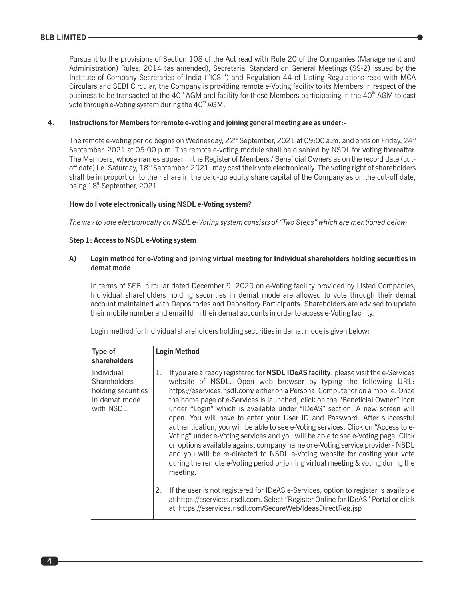Pursuant to the provisions of Section 108 of the Act read with Rule 20 of the Companies (Management and Administration) Rules, 2014 (as amended), Secretarial Standard on General Meetings (SS-2) issued by the Institute of Company Secretaries of India ("ICSI") and Regulation 44 of Listing Regulations read with MCA Circulars and SEBI Circular, the Company is providing remote e-Voting facility to its Members in respect of the business to be transacted at the 40<sup>th</sup> AGM and facility for those Members participating in the 40<sup>th</sup> AGM to cast vote through e-Voting system during the  $40<sup>th</sup>$  AGM.

#### **4. Instructions for Members for remote e-voting and joining general meeting are as under:-**

The remote e-voting period begins on Wednesday,  $22^{nd}$  September, 2021 at 09:00 a.m. and ends on Friday, 24<sup>th</sup> September, 2021 at 05:00 p.m. The remote e-voting module shall be disabled by NSDL for voting thereafter. The Members, whose names appear in the Register of Members / Beneficial Owners as on the record date (cutoff date) i.e. Saturday,  $18<sup>th</sup>$  September, 2021, may cast their vote electronically. The voting right of shareholders shall be in proportion to their share in the paid-up equity share capital of the Company as on the cut-off date, being 18<sup>th</sup> September, 2021.

#### **How do I vote electronically using NSDL e-Voting system?**

*The way to vote electronically on NSDL e-Voting system consists of "Two Steps" which are mentioned below:*

#### **Step 1: Access to NSDL e-Voting system**

#### **A) Login method for e-Voting and joining virtual meeting for Individual shareholders holding securities in demat mode**

In terms of SEBI circular dated December 9, 2020 on e-Voting facility provided by Listed Companies, Individual shareholders holding securities in demat mode are allowed to vote through their demat account maintained with Depositories and Depository Participants. Shareholders are advised to update their mobile number and email Id in their demat accounts in order to access e-Voting facility.

Login method for Individual shareholders holding securities in demat mode is given below:

| Type of                                                                                          | <b>Login Method</b>                                                                                                                                                                                                                                                                                                                                                                                                                                                                                                                                                                                                                                                                                                                                                                                                                                                                                                                   |
|--------------------------------------------------------------------------------------------------|---------------------------------------------------------------------------------------------------------------------------------------------------------------------------------------------------------------------------------------------------------------------------------------------------------------------------------------------------------------------------------------------------------------------------------------------------------------------------------------------------------------------------------------------------------------------------------------------------------------------------------------------------------------------------------------------------------------------------------------------------------------------------------------------------------------------------------------------------------------------------------------------------------------------------------------|
| shareholders<br>Individual<br>Shareholders<br>holding securities<br>lin demat mode<br>with NSDL. | If you are already registered for <b>NSDL IDeAS facility</b> , please visit the e-Services<br>1.<br>website of NSDL. Open web browser by typing the following URL:<br>https://eservices.nsdl.com/either on a Personal Computer or on a mobile. Once<br>the home page of e-Services is launched, click on the "Beneficial Owner" icon<br>under "Login" which is available under "IDeAS" section. A new screen will<br>open. You will have to enter your User ID and Password. After successful<br>authentication, you will be able to see e-Voting services. Click on "Access to e-<br>Voting" under e-Voting services and you will be able to see e-Voting page. Click<br>on options available against company name or e-Voting service provider - NSDL<br>and you will be re-directed to NSDL e-Voting website for casting your vote<br>during the remote e-Voting period or joining virtual meeting & voting during the<br>meeting. |
|                                                                                                  | 2. If the user is not registered for IDeAS e-Services, option to register is available<br>at https://eservices.nsdl.com. Select "Register Online for IDeAS" Portal or click<br>at https://eservices.nsdl.com/SecureWeb/IdeasDirectReg.jsp                                                                                                                                                                                                                                                                                                                                                                                                                                                                                                                                                                                                                                                                                             |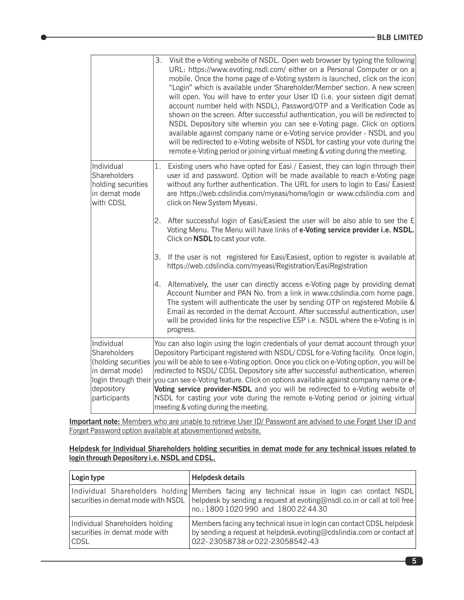|                                                                                                                          | 3.<br>Visit the e-Voting website of NSDL. Open web browser by typing the following<br>URL: https://www.evoting.nsdl.com/ either on a Personal Computer or on a<br>mobile. Once the home page of e-Voting system is launched, click on the icon<br>"Login" which is available under 'Shareholder/Member' section. A new screen<br>will open. You will have to enter your User ID (i.e. your sixteen digit demat<br>account number held with NSDL), Password/OTP and a Verification Code as<br>shown on the screen. After successful authentication, you will be redirected to<br>NSDL Depository site wherein you can see e-Voting page. Click on options<br>available against company name or e-Voting service provider - NSDL and you<br>will be redirected to e-Voting website of NSDL for casting your vote during the<br>remote e-Voting period or joining virtual meeting & voting during the meeting. |
|--------------------------------------------------------------------------------------------------------------------------|-------------------------------------------------------------------------------------------------------------------------------------------------------------------------------------------------------------------------------------------------------------------------------------------------------------------------------------------------------------------------------------------------------------------------------------------------------------------------------------------------------------------------------------------------------------------------------------------------------------------------------------------------------------------------------------------------------------------------------------------------------------------------------------------------------------------------------------------------------------------------------------------------------------|
| Individual<br>Shareholders<br>holding securities<br>in demat mode<br>with CDSL                                           | Existing users who have opted for Easi / Easiest, they can login through their<br>1.<br>user id and password. Option will be made available to reach e-Voting page<br>without any further authentication. The URL for users to login to Easi/ Easiest<br>are https://web.cdslindia.com/myeasi/home/login or www.cdslindia.com and<br>click on New System Myeasi.                                                                                                                                                                                                                                                                                                                                                                                                                                                                                                                                            |
|                                                                                                                          | 2.<br>After successful login of Easi/Easiest the user will be also able to see the E<br>Voting Menu. The Menu will have links of e-Voting service provider i.e. NSDL.<br>Click on NSDL to cast your vote.                                                                                                                                                                                                                                                                                                                                                                                                                                                                                                                                                                                                                                                                                                   |
|                                                                                                                          | If the user is not registered for Easi/Easiest, option to register is available at<br>3.<br>https://web.cdslindia.com/myeasi/Registration/EasiRegistration                                                                                                                                                                                                                                                                                                                                                                                                                                                                                                                                                                                                                                                                                                                                                  |
|                                                                                                                          | 4. Alternatively, the user can directly access e-Voting page by providing demat<br>Account Number and PAN No. from a link in www.cdslindia.com home page.<br>The system will authenticate the user by sending OTP on registered Mobile &<br>Email as recorded in the demat Account. After successful authentication, user<br>will be provided links for the respective ESP i.e. NSDL where the e-Voting is in<br>progress.                                                                                                                                                                                                                                                                                                                                                                                                                                                                                  |
| Individual<br>Shareholders<br>(holding securities<br>in demat mode)<br>login through their<br>depository<br>participants | You can also login using the login credentials of your demat account through your<br>Depository Participant registered with NSDL/CDSL for e-Voting facility. Once login,<br>you will be able to see e-Voting option. Once you click on e-Voting option, you will be<br>redirected to NSDL/ CDSL Depository site after successful authentication, wherein<br>you can see e-Voting feature. Click on options available against company name or e-<br>Voting service provider-NSDL and you will be redirected to e-Voting website of<br>NSDL for casting your vote during the remote e-Voting period or joining virtual<br>meeting & voting during the meeting.                                                                                                                                                                                                                                                |

**Important note:** Members who are unable to retrieve User ID/ Password are advised to use Forget User ID and Forget Password option available at abovementioned website.

## **Helpdesk for Individual Shareholders holding securities in demat mode for any technical issues related to login through Depository i.e. NSDL and CDSL.**

| Login type                                                               | <b>Helpdesk details</b>                                                                                                                                                                                                                                 |  |  |
|--------------------------------------------------------------------------|---------------------------------------------------------------------------------------------------------------------------------------------------------------------------------------------------------------------------------------------------------|--|--|
|                                                                          | Individual Shareholders holding   Members facing any technical issue in login can contact NSDL<br>securities in demat mode with NSDL   helpdesk by sending a request at evoting@nsdl.co.in or call at toll free<br>no.: 1800 1020 990 and 1800 22 44 30 |  |  |
| Individual Shareholders holding<br>securities in demat mode with<br>CDSL | Members facing any technical issue in login can contact CDSL helpdesk<br>by sending a request at helpdesk.evoting@cdslindia.com or contact at<br>022-23058738 or 022-23058542-43                                                                        |  |  |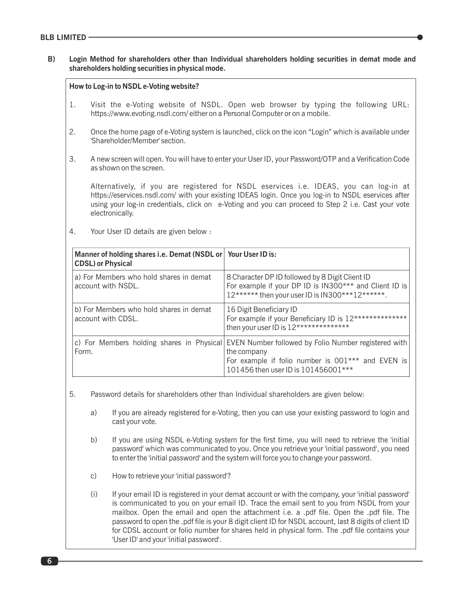#### **BLB LIMITED**

## **B) Login Method for shareholders other than Individual shareholders holding securities in demat mode and shareholders holding securities in physical mode.**

#### **How to Log-in to NSDL e-Voting website?**

- 1. Visit the e-Voting website of NSDL. Open web browser by typing the following URL: https://www.evoting.nsdl.com/ either on a Personal Computer or on a mobile.
- 2. Once the home page of e-Voting system is launched, click on the icon "Login" which is available under 'Shareholder/Member' section.
- 3. A new screen will open. You will have to enter your User ID, your Password/OTP and a Verification Code as shown on the screen.

Alternatively, if you are registered for NSDL eservices i.e. IDEAS, you can log-in at https://eservices.nsdl.com/ with your existing IDEAS login. Once you log-in to NSDL eservices after using your log-in credentials, click on e-Voting and you can proceed to Step 2 i.e. Cast your vote electronically.

4. Your User ID details are given below :

| Manner of holding shares i.e. Demat (NSDL or   Your User ID is:<br><b>CDSL) or Physical</b> |                                                                                                                                                                                                           |  |  |
|---------------------------------------------------------------------------------------------|-----------------------------------------------------------------------------------------------------------------------------------------------------------------------------------------------------------|--|--|
| a) For Members who hold shares in demat<br>account with NSDL.                               | 8 Character DP ID followed by 8 Digit Client ID<br>For example if your DP ID is IN300*** and Client ID is<br>12****** then your user ID is IN300***12******.                                              |  |  |
| b) For Members who hold shares in demat<br>account with CDSL.                               | 16 Digit Beneficiary ID<br>For example if your Beneficiary ID is 12**************<br>then your user ID is 12**************                                                                                |  |  |
| Form.                                                                                       | c) For Members holding shares in Physical EVEN Number followed by Folio Number registered with<br>the company<br>For example if folio number is 001*** and EVEN is<br>101456 then user ID is 101456001*** |  |  |

- 5. Password details for shareholders other than Individual shareholders are given below:
	- a) If you are already registered for e-Voting, then you can use your existing password to login and cast your vote.
	- b) If you are using NSDL e-Voting system for the first time, you will need to retrieve the 'initial password' which was communicated to you. Once you retrieve your 'initial password', you need to enter the 'initial password' and the system will force you to change your password.
	- c) How to retrieve your 'initial password'?

(i) If your email ID is registered in your demat account or with the company, your 'initial password' is communicated to you on your email ID. Trace the email sent to you from NSDL from your mailbox. Open the email and open the attachment i.e. a .pdf file. Open the .pdf file. The password to open the .pdf file is your 8 digit client ID for NSDL account, last 8 digits of client ID for CDSL account or folio number for shares held in physical form. The .pdf file contains your 'User ID' and your 'initial password'.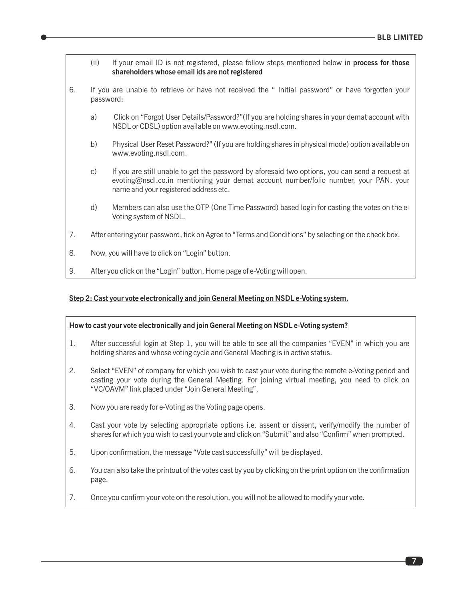- (ii) If your email ID is not registered, please follow steps mentioned below in **process for those shareholders whose email ids are not registered**
- 6. If you are unable to retrieve or have not received the " Initial password" or have forgotten your password:
	- a) Click on "Forgot User Details/Password?"(If you are holding shares in your demat account with NSDL or CDSL) option available on www.evoting.nsdl.com.
	- b) Physical User Reset Password?" (If you are holding shares in physical mode) option available on www.evoting.nsdl.com.
	- c) If you are still unable to get the password by aforesaid two options, you can send a request at evoting@nsdl.co.in mentioning your demat account number/folio number, your PAN, your name and your registered address etc.
	- d) Members can also use the OTP (One Time Password) based login for casting the votes on the e-Voting system of NSDL.
- 7. After entering your password, tick on Agree to "Terms and Conditions" by selecting on the check box.
- 8. Now, you will have to click on "Login" button.
- 9. After you click on the "Login" button, Home page of e-Voting will open.

## **Step 2: Cast your vote electronically and join General Meeting on NSDL e-Voting system.**

#### **How to cast your vote electronically and join General Meeting on NSDL e-Voting system?**

- 1. After successful login at Step 1, you will be able to see all the companies "EVEN" in which you are holding shares and whose voting cycle and General Meeting is in active status.
- 2. Select "EVEN" of company for which you wish to cast your vote during the remote e-Voting period and casting your vote during the General Meeting. For joining virtual meeting, you need to click on "VC/OAVM" link placed under "Join General Meeting".
- 3. Now you are ready for e-Voting as the Voting page opens.
- 4. Cast your vote by selecting appropriate options i.e. assent or dissent, verify/modify the number of shares for which you wish to cast your vote and click on "Submit" and also "Confirm" when prompted.
- 5. Upon confirmation, the message "Vote cast successfully" will be displayed.
- 6. You can also take the printout of the votes cast by you by clicking on the print option on the confirmation page.
- 7. Once you confirm your vote on the resolution, you will not be allowed to modify your vote.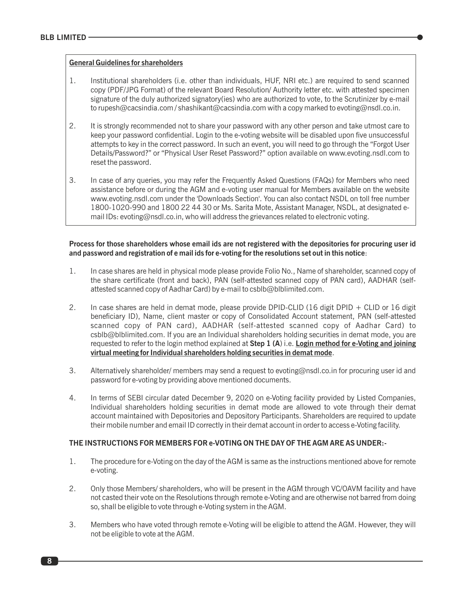#### **General Guidelines for shareholders**

- 1. Institutional shareholders (i.e. other than individuals, HUF, NRI etc.) are required to send scanned copy (PDF/JPG Format) of the relevant Board Resolution/ Authority letter etc. with attested specimen signature of the duly authorized signatory(ies) who are authorized to vote, to the Scrutinizer by e-mail to rupesh@cacsindia.com / shashikant@cacsindia.com with a copy marked to evoting@nsdl.co.in.
- 2. It is strongly recommended not to share your password with any other person and take utmost care to keep your password confidential. Login to the e-voting website will be disabled upon five unsuccessful attempts to key in the correct password. In such an event, you will need to go through the "Forgot User Details/Password?" or "Physical User Reset Password?" option available on www.evoting.nsdl.com to reset the password.
- 3. In case of any queries, you may refer the Frequently Asked Questions (FAQs) for Members who need assistance before or during the AGM and e-voting user manual for Members available on the website www.evoting.nsdl.com under the 'Downloads Section'. You can also contact NSDL on toll free number 1800-1020-990 and 1800 22 44 30 or Ms. Sarita Mote, Assistant Manager, NSDL, at designated email IDs: evoting@nsdl.co.in, who will address the grievances related to electronic voting.

#### **Process for those shareholders whose email ids are not registered with the depositories for procuring user id and password and registration of e mail ids for e-voting for the resolutions set out in this notice**:

- 1. In case shares are held in physical mode please provide Folio No., Name of shareholder, scanned copy of the share certificate (front and back), PAN (self-attested scanned copy of PAN card), AADHAR (selfattested scanned copy of Aadhar Card) by e-mail to csblb@blblimited.com.
- 2. In case shares are held in demat mode, please provide DPID-CLID (16 digit DPID + CLID or 16 digit beneficiary ID), Name, client master or copy of Consolidated Account statement, PAN (self-attested scanned copy of PAN card), AADHAR (self-attested scanned copy of Aadhar Card) to csblb@blblimited.com. If you are an Individual shareholders holding securities in demat mode, you are requested to refer to the login method explained at **Step 1 (A**) i.e. **Login method for e-Voting and joining virtual meeting for Individual shareholders holding securities in demat mode**.
- 3. Alternatively shareholder/ members may send a request to evoting@nsdl.co.in for procuring user id and password for e-voting by providing above mentioned documents.
- 4. In terms of SEBI circular dated December 9, 2020 on e-Voting facility provided by Listed Companies, Individual shareholders holding securities in demat mode are allowed to vote through their demat account maintained with Depositories and Depository Participants. Shareholders are required to update their mobile number and email ID correctly in their demat account in order to access e-Voting facility.

## **THE INSTRUCTIONS FOR MEMBERS FOR e-VOTING ON THE DAY OF THE AGM ARE AS UNDER:-**

- 1. The procedure for e-Voting on the day of the AGM is same as the instructions mentioned above for remote e-voting.
- 2. Only those Members/ shareholders, who will be present in the AGM through VC/OAVM facility and have not casted their vote on the Resolutions through remote e-Voting and are otherwise not barred from doing so, shall be eligible to vote through e-Voting system in the AGM.
- 3. Members who have voted through remote e-Voting will be eligible to attend the AGM. However, they will not be eligible to vote at the AGM.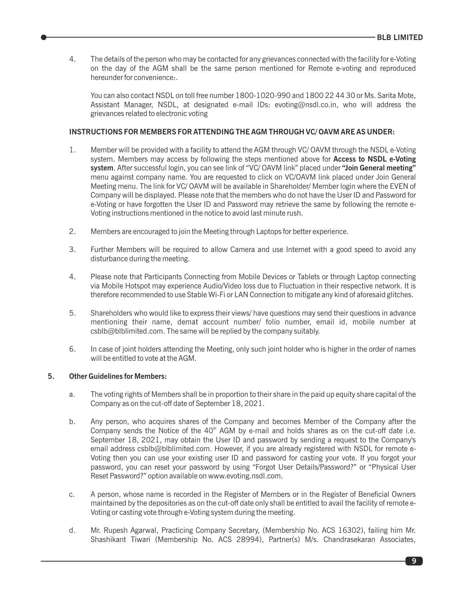4. The details of the person who may be contacted for any grievances connected with the facility for e-Voting on the day of the AGM shall be the same person mentioned for Remote e-voting and reproduced hereunder for convenience:.

You can also contact NSDL on toll free number 1800-1020-990 and 1800 22 44 30 or Ms. Sarita Mote, Assistant Manager, NSDL, at designated e-mail IDs: evoting@nsdl.co.in, who will address the grievances related to electronic voting

## **INSTRUCTIONS FOR MEMBERS FOR ATTENDING THE AGM THROUGH VC/ OAVM ARE AS UNDER:**

- 1. Member will be provided with a facility to attend the AGM through VC/ OAVM through the NSDL e-Voting system. Members may access by following the steps mentioned above for **Access to NSDL e-Voting system**. After successful login, you can see link of "VC/ OAVM link" placed under **"Join General meeting"** menu against company name. You are requested to click on VC/OAVM link placed under Join General Meeting menu. The link for VC/ OAVM will be available in Shareholder/ Member login where the EVEN of Company will be displayed. Please note that the members who do not have the User ID and Password for e-Voting or have forgotten the User ID and Password may retrieve the same by following the remote e-Voting instructions mentioned in the notice to avoid last minute rush.
- 2. Members are encouraged to join the Meeting through Laptops for better experience.
- 3. Further Members will be required to allow Camera and use Internet with a good speed to avoid any disturbance during the meeting.
- 4. Please note that Participants Connecting from Mobile Devices or Tablets or through Laptop connecting via Mobile Hotspot may experience Audio/Video loss due to Fluctuation in their respective network. It is therefore recommended to use Stable Wi-Fi or LAN Connection to mitigate any kind of aforesaid glitches.
- 5. Shareholders who would like to express their views/ have questions may send their questions in advance mentioning their name, demat account number/ folio number, email id, mobile number at csblb@blblimited.com. The same will be replied by the company suitably.
- 6. In case of joint holders attending the Meeting, only such joint holder who is higher in the order of names will be entitled to vote at the AGM.

#### **5. Other Guidelines for Members:**

- a. The voting rights of Members shall be in proportion to their share in the paid up equity share capital of the Company as on the cut-off date of September 18, 2021.
- b. Any person, who acquires shares of the Company and becomes Member of the Company after the Company sends the Notice of the  $40<sup>th</sup>$  AGM by e-mail and holds shares as on the cut-off date i.e. September 18, 2021, may obtain the User ID and password by sending a request to the Company's email address csblb@blblimited.com. However, if you are already registered with NSDL for remote e-Voting then you can use your existing user ID and password for casting your vote. If you forgot your password, you can reset your password by using "Forgot User Details/Password?" or "Physical User Reset Password?" option available on www.evoting.nsdl.com.
- c. A person, whose name is recorded in the Register of Members or in the Register of Beneficial Owners maintained by the depositories as on the cut-off date only shall be entitled to avail the facility of remote e-Voting or casting vote through e-Voting system during the meeting.
- d. Mr. Rupesh Agarwal, Practicing Company Secretary, (Membership No. ACS 16302), failing him Mr. Shashikant Tiwari (Membership No. ACS 28994), Partner(s) M/s. Chandrasekaran Associates,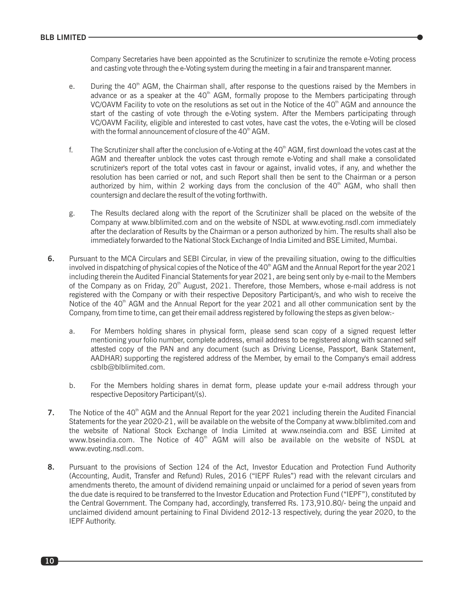Company Secretaries have been appointed as the Scrutinizer to scrutinize the remote e-Voting process and casting vote through the e-Voting system during the meeting in a fair and transparent manner.

- e. During the 40<sup>th</sup> AGM, the Chairman shall, after response to the questions raised by the Members in advance or as a speaker at the  $40<sup>th</sup>$  AGM, formally propose to the Members participating through VC/OAVM Facility to vote on the resolutions as set out in the Notice of the 40<sup>th</sup> AGM and announce the start of the casting of vote through the e-Voting system. After the Members participating through VC/OAVM Facility, eligible and interested to cast votes, have cast the votes, the e-Voting will be closed with the formal announcement of closure of the 40<sup>th</sup> AGM.
- f. The Scrutinizer shall after the conclusion of e-Voting at the  $40<sup>th</sup>$  AGM, first download the votes cast at the AGM and thereafter unblock the votes cast through remote e-Voting and shall make a consolidated scrutinizer's report of the total votes cast in favour or against, invalid votes, if any, and whether the resolution has been carried or not, and such Report shall then be sent to the Chairman or a person authorized by him, within 2 working days from the conclusion of the  $40<sup>th</sup>$  AGM, who shall then countersign and declare the result of the voting forthwith.
- g. The Results declared along with the report of the Scrutinizer shall be placed on the website of the Company at www.blblimited.com and on the website of NSDL at www.evoting.nsdl.com immediately after the declaration of Results by the Chairman or a person authorized by him. The results shall also be immediately forwarded to the National Stock Exchange of India Limited and BSE Limited, Mumbai.
- **6.** Pursuant to the MCA Circulars and SEBI Circular, in view of the prevailing situation, owing to the difficulties involved in dispatching of physical copies of the Notice of the 40<sup>th</sup> AGM and the Annual Report for the year 2021 including therein the Audited Financial Statements for year 2021, are being sent only by e-mail to the Members of the Company as on Friday, 20<sup>th</sup> August, 2021. Therefore, those Members, whose e-mail address is not registered with the Company or with their respective Depository Participant/s, and who wish to receive the Notice of the 40<sup>th</sup> AGM and the Annual Report for the year 2021 and all other communication sent by the Company, from time to time, can get their email address registered by following the steps as given below:
	- a. For Members holding shares in physical form, please send scan copy of a signed request letter mentioning your folio number, complete address, email address to be registered along with scanned self attested copy of the PAN and any document (such as Driving License, Passport, Bank Statement, AADHAR) supporting the registered address of the Member, by email to the Company's email address csblb@blblimited.com.
	- b. For the Members holding shares in demat form, please update your e-mail address through your respective Depository Participant/(s).
- 7. The Notice of the 40<sup>th</sup> AGM and the Annual Report for the year 2021 including therein the Audited Financial Statements for the year 2020-21, will be available on the website of the Company at www.blblimited.com and the website of National Stock Exchange of India Limited at www.nseindia.com and BSE Limited at www.bseindia.com. The Notice of 40<sup>th</sup> AGM will also be available on the website of NSDL at www.evoting.nsdl.com.
- **8.** Pursuant to the provisions of Section 124 of the Act, Investor Education and Protection Fund Authority (Accounting, Audit, Transfer and Refund) Rules, 2016 ("IEPF Rules") read with the relevant circulars and amendments thereto, the amount of dividend remaining unpaid or unclaimed for a period of seven years from the due date is required to be transferred to the Investor Education and Protection Fund ("IEPF"), constituted by the Central Government. The Company had, accordingly, transferred Rs. 173,910.80/- being the unpaid and unclaimed dividend amount pertaining to Final Dividend 2012-13 respectively, during the year 2020, to the IEPF Authority.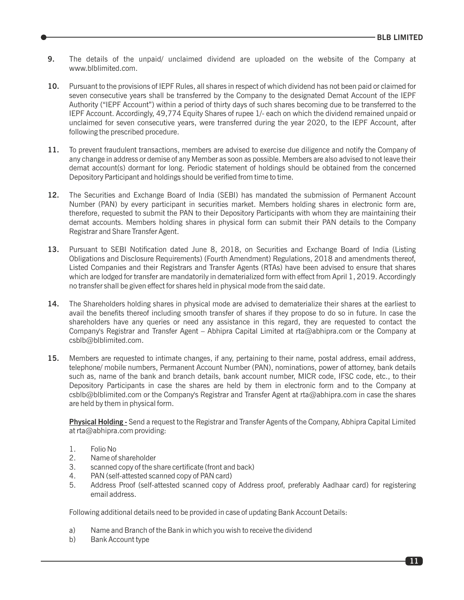- **9.** The details of the unpaid/ unclaimed dividend are uploaded on the website of the Company at www.blblimited.com.
- **10.** Pursuant to the provisions of IEPF Rules, all shares in respect of which dividend has not been paid or claimed for seven consecutive years shall be transferred by the Company to the designated Demat Account of the IEPF Authority ("IEPF Account") within a period of thirty days of such shares becoming due to be transferred to the IEPF Account. Accordingly, 49,774 Equity Shares of rupee 1/- each on which the dividend remained unpaid or unclaimed for seven consecutive years, were transferred during the year 2020, to the IEPF Account, after following the prescribed procedure.
- **11.** To prevent fraudulent transactions, members are advised to exercise due diligence and notify the Company of any change in address or demise of any Member as soon as possible. Members are also advised to not leave their demat account(s) dormant for long. Periodic statement of holdings should be obtained from the concerned Depository Participant and holdings should be verified from time to time.
- **12.** The Securities and Exchange Board of India (SEBI) has mandated the submission of Permanent Account Number (PAN) by every participant in securities market. Members holding shares in electronic form are, therefore, requested to submit the PAN to their Depository Participants with whom they are maintaining their demat accounts. Members holding shares in physical form can submit their PAN details to the Company Registrar and Share Transfer Agent.
- 13. Pursuant to SEBI Notification dated June 8, 2018, on Securities and Exchange Board of India (Listing Obligations and Disclosure Requirements) (Fourth Amendment) Regulations, 2018 and amendments thereof, Listed Companies and their Registrars and Transfer Agents (RTAs) have been advised to ensure that shares which are lodged for transfer are mandatorily in dematerialized form with effect from April 1, 2019. Accordingly no transfer shall be given effect for shares held in physical mode from the said date.
- **14.** The Shareholders holding shares in physical mode are advised to dematerialize their shares at the earliest to avail the benefits thereof including smooth transfer of shares if they propose to do so in future. In case the shareholders have any queries or need any assistance in this regard, they are requested to contact the Company's Registrar and Transfer Agent – Abhipra Capital Limited at rta@abhipra.com or the Company at csblb@blblimited.com.
- **15.** Members are requested to intimate changes, if any, pertaining to their name, postal address, email address, telephone/ mobile numbers, Permanent Account Number (PAN), nominations, power of attorney, bank details such as, name of the bank and branch details, bank account number, MICR code, IFSC code, etc., to their Depository Participants in case the shares are held by them in electronic form and to the Company at csblb@blblimited.com or the Company's Registrar and Transfer Agent at rta@abhipra.com in case the shares are held by them in physical form.

**Physical Holding -** Send a request to the Registrar and Transfer Agents of the Company, Abhipra Capital Limited at rta@abhipra.com providing:

- 1. Folio No
- 2. Name of shareholder
- 3. scanned copy of the share certificate (front and back)
- 4. PAN (self-attested scanned copy of PAN card)
- 5. Address Proof (self-attested scanned copy of Address proof, preferably Aadhaar card) for registering email address.

Following additional details need to be provided in case of updating Bank Account Details:

- a) Name and Branch of the Bank in which you wish to receive the dividend
- b) Bank Account type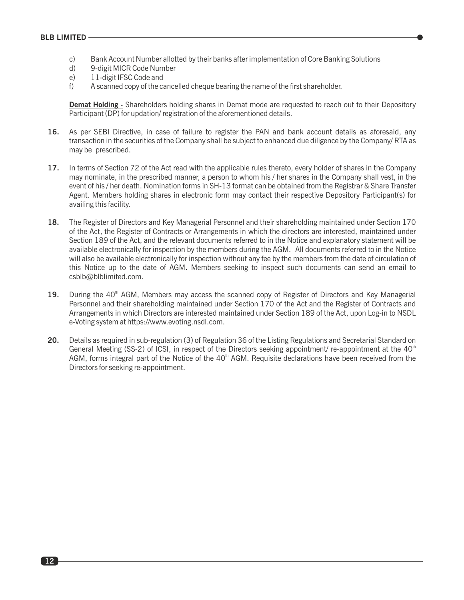- c) Bank Account Number allotted by their banks after implementation of Core Banking Solutions
- d) 9-digit MICR Code Number
- e) 11-digit IFSC Code and
- f) A scanned copy of the cancelled cheque bearing the name of the first shareholder.

**Demat Holding -** Shareholders holding shares in Demat mode are requested to reach out to their Depository Participant (DP) for updation/ registration of the aforementioned details.

- **16.** As per SEBI Directive, in case of failure to register the PAN and bank account details as aforesaid, any transaction in the securities of the Company shall be subject to enhanced due diligence by the Company/ RTA as may be prescribed.
- **17.** In terms of Section 72 of the Act read with the applicable rules thereto, every holder of shares in the Company may nominate, in the prescribed manner, a person to whom his / her shares in the Company shall vest, in the event of his / her death. Nomination forms in SH-13 format can be obtained from the Registrar & Share Transfer Agent. Members holding shares in electronic form may contact their respective Depository Participant(s) for availing this facility.
- **18.** The Register of Directors and Key Managerial Personnel and their shareholding maintained under Section 170 of the Act, the Register of Contracts or Arrangements in which the directors are interested, maintained under Section 189 of the Act, and the relevant documents referred to in the Notice and explanatory statement will be available electronically for inspection by the members during the AGM. All documents referred to in the Notice will also be available electronically for inspection without any fee by the members from the date of circulation of this Notice up to the date of AGM. Members seeking to inspect such documents can send an email to csblb@blblimited.com.
- 19. During the 40<sup>th</sup> AGM, Members may access the scanned copy of Register of Directors and Key Managerial Personnel and their shareholding maintained under Section 170 of the Act and the Register of Contracts and Arrangements in which Directors are interested maintained under Section 189 of the Act, upon Log-in to NSDL e-Voting system at https://www.evoting.nsdl.com.
- **20.** Details as required in sub-regulation (3) of Regulation 36 of the Listing Regulations and Secretarial Standard on General Meeting (SS-2) of ICSI, in respect of the Directors seeking appointment/ re-appointment at the  $40<sup>th</sup>$ AGM, forms integral part of the Notice of the  $40<sup>th</sup>$  AGM. Requisite declarations have been received from the Directors for seeking re-appointment.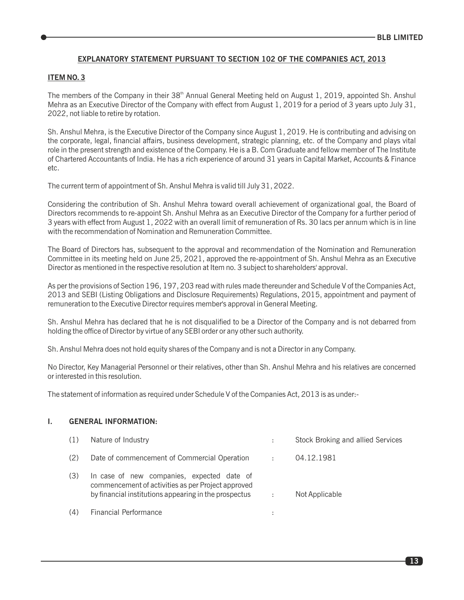## **EXPLANATORY STATEMENT PURSUANT TO SECTION 102 OF THE COMPANIES ACT, 2013**

### **ITEM NO. 3**

The members of the Company in their  $38<sup>th</sup>$  Annual General Meeting held on August 1, 2019, appointed Sh. Anshul Mehra as an Executive Director of the Company with effect from August 1, 2019 for a period of 3 years upto July 31, 2022, not liable to retire by rotation.

Sh. Anshul Mehra, is the Executive Director of the Company since August 1, 2019. He is contributing and advising on the corporate, legal, financial affairs, business development, strategic planning, etc. of the Company and plays vital role in the present strength and existence of the Company. He is a B. Com Graduate and fellow member of The Institute of Chartered Accountants of India. He has a rich experience of around 31 years in Capital Market, Accounts & Finance etc.

The current term of appointment of Sh. Anshul Mehra is valid till July 31, 2022.

Considering the contribution of Sh. Anshul Mehra toward overall achievement of organizational goal, the Board of Directors recommends to re-appoint Sh. Anshul Mehra as an Executive Director of the Company for a further period of 3 years with effect from August 1, 2022 with an overall limit of remuneration of Rs. 30 lacs per annum which is in line with the recommendation of Nomination and Remuneration Committee.

The Board of Directors has, subsequent to the approval and recommendation of the Nomination and Remuneration Committee in its meeting held on June 25, 2021, approved the re-appointment of Sh. Anshul Mehra as an Executive Director as mentioned in the respective resolution at Item no. 3 subject to shareholders' approval.

As per the provisions of Section 196, 197, 203 read with rules made thereunder and Schedule V of the Companies Act, 2013 and SEBI (Listing Obligations and Disclosure Requirements) Regulations, 2015, appointment and payment of remuneration to the Executive Director requires member's approval in General Meeting.

Sh. Anshul Mehra has declared that he is not disqualified to be a Director of the Company and is not debarred from holding the office of Director by virtue of any SEBI order or any other such authority.

Sh. Anshul Mehra does not hold equity shares of the Company and is not a Director in any Company.

No Director, Key Managerial Personnel or their relatives, other than Sh. Anshul Mehra and his relatives are concerned or interested in this resolution.

The statement of information as required under Schedule V of the Companies Act, 2013 is as under:-

### **I. GENERAL INFORMATION:**

| (1) | Nature of Industry                                                                                                                                        |           | Stock Broking and allied Services |
|-----|-----------------------------------------------------------------------------------------------------------------------------------------------------------|-----------|-----------------------------------|
| (2) | Date of commencement of Commercial Operation                                                                                                              | $\cdot$ . | 04.12.1981                        |
| (3) | In case of new companies, expected date of<br>commencement of activities as per Project approved<br>by financial institutions appearing in the prospectus | ÷         | Not Applicable                    |
| (4) | <b>Financial Performance</b>                                                                                                                              |           |                                   |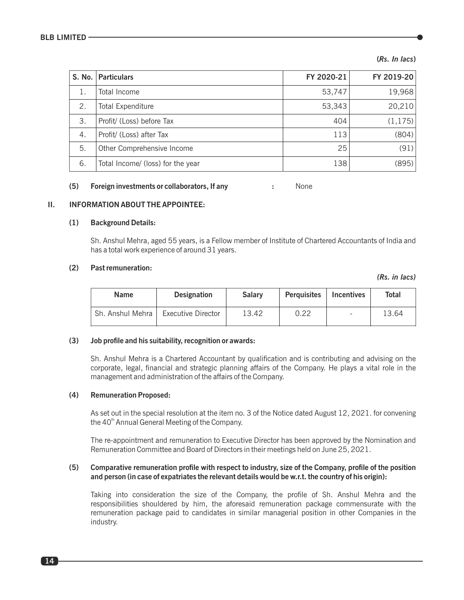**(***Rs. In lacs***)**

| S. No. | <b>Particulars</b>                | FY 2020-21 | FY 2019-20 |
|--------|-----------------------------------|------------|------------|
|        | Total Income                      | 53,747     | 19,968     |
| 2.     | Total Expenditure                 | 53,343     | 20,210     |
| 3.     | Profit/ (Loss) before Tax         | 404        | (1, 175)   |
| 4.     | Profit/ (Loss) after Tax          | 113        | (804)      |
| 5.     | Other Comprehensive Income        | 25         | (91)       |
| 6.     | Total Income/ (loss) for the year | 138        | (895)      |

#### **(5) Foreign investments or collaborators, If any :** None

### **II. INFORMATION ABOUT THE APPOINTEE:**

#### **(1) Background Details:**

Sh. Anshul Mehra, aged 55 years, is a Fellow member of Institute of Chartered Accountants of India and has a total work experience of around 31 years.

#### **(2) Past remuneration:**

## *(Rs. in lacs)*

| <b>Name</b>      | <b>Designation</b>        | <b>Salary</b> | <b>Perguisites</b> | ' Incentives | <b>Total</b> |
|------------------|---------------------------|---------------|--------------------|--------------|--------------|
| Sh. Anshul Mehra | <b>Executive Director</b> | 13.42         | 0.22               | $\sim$       | 13.64        |

#### (3) Job profile and his suitability, recognition or awards:

Sh. Anshul Mehra is a Chartered Accountant by qualification and is contributing and advising on the corporate, legal, financial and strategic planning affairs of the Company. He plays a vital role in the management and administration of the affairs of the Company.

#### **(4) Remuneration Proposed:**

As set out in the special resolution at the item no. 3 of the Notice dated August 12, 2021. for convening the 40<sup>th</sup> Annual General Meeting of the Company.

The re-appointment and remuneration to Executive Director has been approved by the Nomination and Remuneration Committee and Board of Directors in their meetings held on June 25, 2021.

#### (5) Comparative remuneration profile with respect to industry, size of the Company, profile of the position **and person (in case of expatriates the relevant details would be w.r.t. the country of his origin):**

Taking into consideration the size of the Company, the profile of Sh. Anshul Mehra and the responsibilities shouldered by him, the aforesaid remuneration package commensurate with the remuneration package paid to candidates in similar managerial position in other Companies in the industry.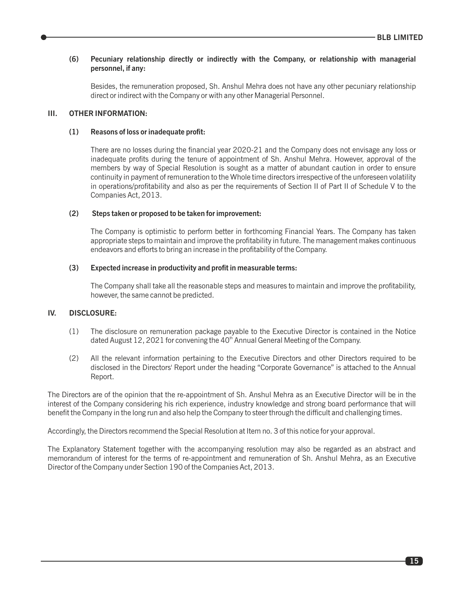## **(6) Pecuniary relationship directly or indirectly with the Company, or relationship with managerial personnel, if any:**

Besides, the remuneration proposed, Sh. Anshul Mehra does not have any other pecuniary relationship direct or indirect with the Company or with any other Managerial Personnel.

#### **III. OTHER INFORMATION:**

#### **(1) Reasons of loss or inadequate prot:**

There are no losses during the financial year 2020-21 and the Company does not envisage any loss or inadequate profits during the tenure of appointment of Sh. Anshul Mehra. However, approval of the members by way of Special Resolution is sought as a matter of abundant caution in order to ensure continuity in payment of remuneration to the Whole time directors irrespective of the unforeseen volatility in operations/profitability and also as per the requirements of Section II of Part II of Schedule V to the Companies Act, 2013.

#### **(2) Steps taken or proposed to be taken for improvement:**

The Company is optimistic to perform better in forthcoming Financial Years. The Company has taken appropriate steps to maintain and improve the profitability in future. The management makes continuous endeavors and efforts to bring an increase in the profitability of the Company.

## **(3) Expected increase in productivity and prot in measurable terms:**

The Company shall take all the reasonable steps and measures to maintain and improve the profitability, however, the same cannot be predicted.

## **IV. DISCLOSURE:**

- (1) The disclosure on remuneration package payable to the Executive Director is contained in the Notice dated August 12, 2021 for convening the 40<sup>th</sup> Annual General Meeting of the Company.
- (2) All the relevant information pertaining to the Executive Directors and other Directors required to be disclosed in the Directors' Report under the heading "Corporate Governance" is attached to the Annual Report.

The Directors are of the opinion that the re-appointment of Sh. Anshul Mehra as an Executive Director will be in the interest of the Company considering his rich experience, industry knowledge and strong board performance that will benefit the Company in the long run and also help the Company to steer through the difficult and challenging times.

Accordingly, the Directors recommend the Special Resolution at Item no. 3 of this notice for your approval.

The Explanatory Statement together with the accompanying resolution may also be regarded as an abstract and memorandum of interest for the terms of re-appointment and remuneration of Sh. Anshul Mehra, as an Executive Director of the Company under Section 190 of the Companies Act, 2013.